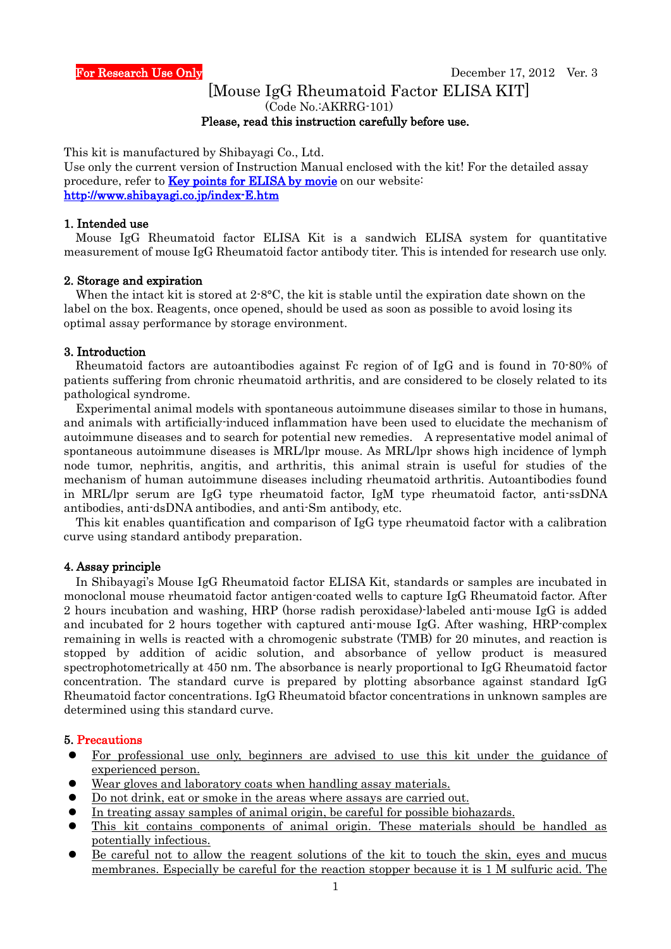# [Mouse IgG Rheumatoid Factor ELISA KIT]

(Code No.:AKRRG-101)

#### Please, read this instruction carefully before use.

This kit is manufactured by Shibayagi Co., Ltd.

Use only the current version of Instruction Manual enclosed with the kit! For the detailed assay procedure, refer to **Key points for ELISA by movie** on our website: <http://www.shibayagi.co.jp/index-E.htm>

#### 1. Intended use

Mouse IgG Rheumatoid factor ELISA Kit is a sandwich ELISA system for quantitative measurement of mouse IgG Rheumatoid factor antibody titer. This is intended for research use only.

#### 2. Storage and expiration

When the intact kit is stored at 2.8°C, the kit is stable until the expiration date shown on the label on the box. Reagents, once opened, should be used as soon as possible to avoid losing its optimal assay performance by storage environment.

#### 3. Introduction

Rheumatoid factors are autoantibodies against Fc region of of IgG and is found in 70-80% of patients suffering from chronic rheumatoid arthritis, and are considered to be closely related to its pathological syndrome.

Experimental animal models with spontaneous autoimmune diseases similar to those in humans, and animals with artificially-induced inflammation have been used to elucidate the mechanism of autoimmune diseases and to search for potential new remedies. A representative model animal of spontaneous autoimmune diseases is MRL/lpr mouse. As MRL/lpr shows high incidence of lymph node tumor, nephritis, angitis, and arthritis, this animal strain is useful for studies of the mechanism of human autoimmune diseases including rheumatoid arthritis. Autoantibodies found in MRL/lpr serum are IgG type rheumatoid factor, IgM type rheumatoid factor, anti-ssDNA antibodies, anti-dsDNA antibodies, and anti-Sm antibody, etc.

This kit enables quantification and comparison of IgG type rheumatoid factor with a calibration curve using standard antibody preparation.

#### 4. Assay principle

 In Shibayagi's Mouse IgG Rheumatoid factor ELISA Kit, standards or samples are incubated in monoclonal mouse rheumatoid factor antigen-coated wells to capture IgG Rheumatoid factor. After 2 hours incubation and washing, HRP (horse radish peroxidase)-labeled anti-mouse IgG is added and incubated for 2 hours together with captured anti-mouse IgG. After washing, HRP-complex remaining in wells is reacted with a chromogenic substrate (TMB) for 20 minutes, and reaction is stopped by addition of acidic solution, and absorbance of yellow product is measured spectrophotometrically at 450 nm. The absorbance is nearly proportional to IgG Rheumatoid factor concentration. The standard curve is prepared by plotting absorbance against standard IgG Rheumatoid factor concentrations. IgG Rheumatoid bfactor concentrations in unknown samples are determined using this standard curve.

#### 5. Precautions

- For professional use only, beginners are advised to use this kit under the guidance of experienced person.
- Wear gloves and laboratory coats when handling assay materials.
- Do not drink, eat or smoke in the areas where assays are carried out.
- In treating assay samples of animal origin, be careful for possible biohazards.
- This kit contains components of animal origin. These materials should be handled as potentially infectious.
- Be careful not to allow the reagent solutions of the kit to touch the skin, eyes and mucus membranes. Especially be careful for the reaction stopper because it is 1 M sulfuric acid. The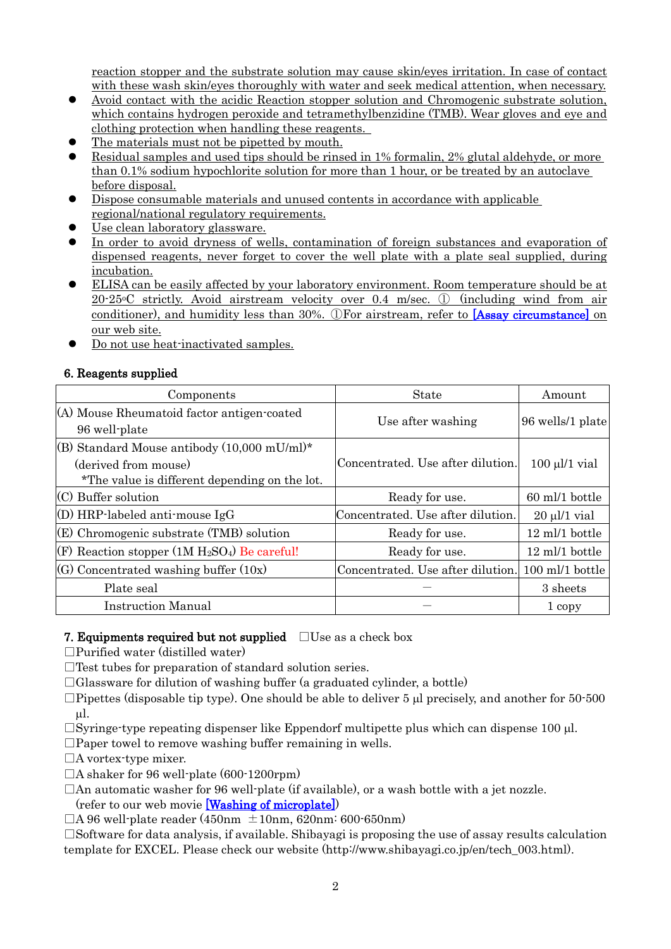reaction stopper and the substrate solution may cause skin/eyes irritation. In case of contact with these wash skin/eyes thoroughly with water and seek medical attention, when necessary.

- Avoid contact with the acidic Reaction stopper solution and Chromogenic substrate solution, which contains hydrogen peroxide and tetramethylbenzidine (TMB). Wear gloves and eye and clothing protection when handling these reagents.
- The materials must not be pipetted by mouth.
- Residual samples and used tips should be rinsed in 1% formalin, 2% glutal aldehyde, or more than 0.1% sodium hypochlorite solution for more than 1 hour, or be treated by an autoclave before disposal.
- Dispose consumable materials and unused contents in accordance with applicable regional/national regulatory requirements.
- Use clean laboratory glassware.
- In order to avoid dryness of wells, contamination of foreign substances and evaporation of dispensed reagents, never forget to cover the well plate with a plate seal supplied, during incubation.
- ELISA can be easily affected by your laboratory environment. Room temperature should be at 20-25oC strictly. Avoid airstream velocity over 0.4 m/sec. ① (including wind from air conditioner), and humidity less than 30%. ①For airstream, refer to [\[Assay circumstance\]](http://www.shibayagi.co.jp/en/movie_008.html) on our web site.
- Do not use heat-inactivated samples.

# 6. Reagents supplied

| Components                                                                                                                      | <b>State</b>                      | Amount             |  |
|---------------------------------------------------------------------------------------------------------------------------------|-----------------------------------|--------------------|--|
| (A) Mouse Rheumatoid factor antigen-coated<br>96 well-plate                                                                     | Use after washing                 | 96 wells/1 plate   |  |
| (B) Standard Mouse antibody $(10,000 \text{ mU/ml})^*$<br>(derived from mouse)<br>*The value is different depending on the lot. | Concentrated. Use after dilution. | $100 \mu l/1$ vial |  |
| $(C)$ Buffer solution                                                                                                           | Ready for use.                    | 60 ml/1 bottle     |  |
| $(D) HRP$ -labeled anti-mouse IgG                                                                                               | Concentrated. Use after dilution. | $20 \mu l/1$ vial  |  |
| (E) Chromogenic substrate (TMB) solution                                                                                        | Ready for use.                    | 12 ml/1 bottle     |  |
| (F) Reaction stopper $(1M H_2SO_4)$ Be careful!                                                                                 | Ready for use.                    | 12 ml/1 bottle     |  |
| $(G)$ Concentrated washing buffer $(10x)$                                                                                       | Concentrated. Use after dilution. | 100 ml/1 bottle    |  |
| Plate seal                                                                                                                      |                                   | 3 sheets           |  |
| <b>Instruction Manual</b>                                                                                                       |                                   | 1 copy             |  |

### 7. Equipments required but not supplied  $\Box$  Use as a check box

 $\Box$ Purified water (distilled water)

 $\Box$  Test tubes for preparation of standard solution series.

 $\Box$ Glassware for dilution of washing buffer (a graduated cylinder, a bottle)

 $\Box$ Pipettes (disposable tip type). One should be able to deliver 5  $\mu$  precisely, and another for 50-500 µl.

 $\Box$ Syringe-type repeating dispenser like Eppendorf multipette plus which can dispense 100 µl.

 $\square$ Paper towel to remove washing buffer remaining in wells.

□A vortex-type mixer.

 $\Box$ A shaker for 96 well-plate (600-1200rpm)

□An automatic washer for 96 well-plate (if available), or a wash bottle with a jet nozzle. (refer to our web movie [\[Washing of microplate\]\)](http://www.shibayagi.co.jp/en/movie_006.html)

 $\Box$ A 96 well-plate reader (450nm  $\pm$ 10nm, 620nm: 600-650nm)

 $\square$ Software for data analysis, if available. Shibayagi is proposing the use of assay results calculation template for EXCEL. Please check our website (http://www.shibayagi.co.jp/en/tech\_003.html).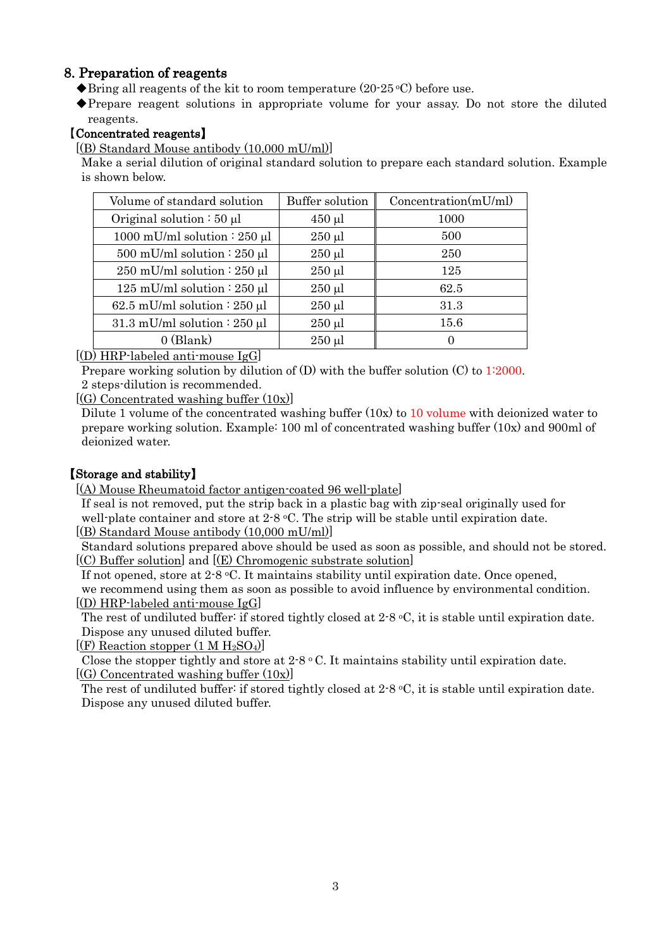# 8. Preparation of reagents

 $\blacklozenge$ Bring all reagents of the kit to room temperature (20-25 °C) before use.

◆Prepare reagent solutions in appropriate volume for your assay. Do not store the diluted reagents.

### 【Concentrated reagents】

 $[(B)$  Standard Mouse antibody  $(10,000 \text{ mU/ml})]$ 

Make a serial dilution of original standard solution to prepare each standard solution. Example is shown below.

| Volume of standard solution       | <b>Buffer solution</b> | Concentration(mU/ml) |
|-----------------------------------|------------------------|----------------------|
| Original solution $: 50 \mu l$    | $450 \mu$ l            | 1000                 |
| 1000 mU/ml solution : 250 $\mu$ l | $250 \mu l$            | 500                  |
| 500 mU/ml solution $: 250 \mu l$  | $250 \mu l$            | 250                  |
| 250 mU/ml solution : 250 $\mu$ l  | $250 \mu l$            | 125                  |
| 125 mU/ml solution : 250 $\mu$ l  | $250 \mu l$            | 62.5                 |
| 62.5 mU/ml solution : 250 $\mu$ l | $250 \mu$              | 31.3                 |
| 31.3 mU/ml solution : 250 $\mu$ l | $250 \mu$              | 15.6                 |
| $0$ (Blank)                       | $250 \mu l$            | $\theta$             |

[(D) HRP-labeled anti-mouse IgG]

Prepare working solution by dilution of (D) with the buffer solution (C) to 1:2000. 2 steps-dilution is recommended.

[(G) Concentrated washing buffer (10x)]

 Dilute 1 volume of the concentrated washing buffer (10x) to 10 volume with deionized water to prepare working solution. Example: 100 ml of concentrated washing buffer (10x) and 900ml of deionized water.

# 【Storage and stability】

[(A) Mouse Rheumatoid factor antigen-coated 96 well-plate]

 If seal is not removed, put the strip back in a plastic bag with zip-seal originally used for well-plate container and store at  $2.8 \text{ °C}$ . The strip will be stable until expiration date. [(B) Standard Mouse antibody (10,000 mU/ml)]

Standard solutions prepared above should be used as soon as possible, and should not be stored. [(C) Buffer solution] and [(E) Chromogenic substrate solution]

If not opened, store at 2-8 °C. It maintains stability until expiration date. Once opened,

we recommend using them as soon as possible to avoid influence by environmental condition. [(D) HRP-labeled anti-mouse IgG]

The rest of undiluted buffer: if stored tightly closed at 2-8 °C, it is stable until expiration date. Dispose any unused diluted buffer.

 $[$ (F) Reaction stopper (1 M H<sub>2</sub>SO<sub>4</sub>) $]$ 

Close the stopper tightly and store at  $2.8 \text{ °C}$ . It maintains stability until expiration date. [(G) Concentrated washing buffer (10x)]

The rest of undiluted buffer: if stored tightly closed at  $2.8 \degree C$ , it is stable until expiration date. Dispose any unused diluted buffer.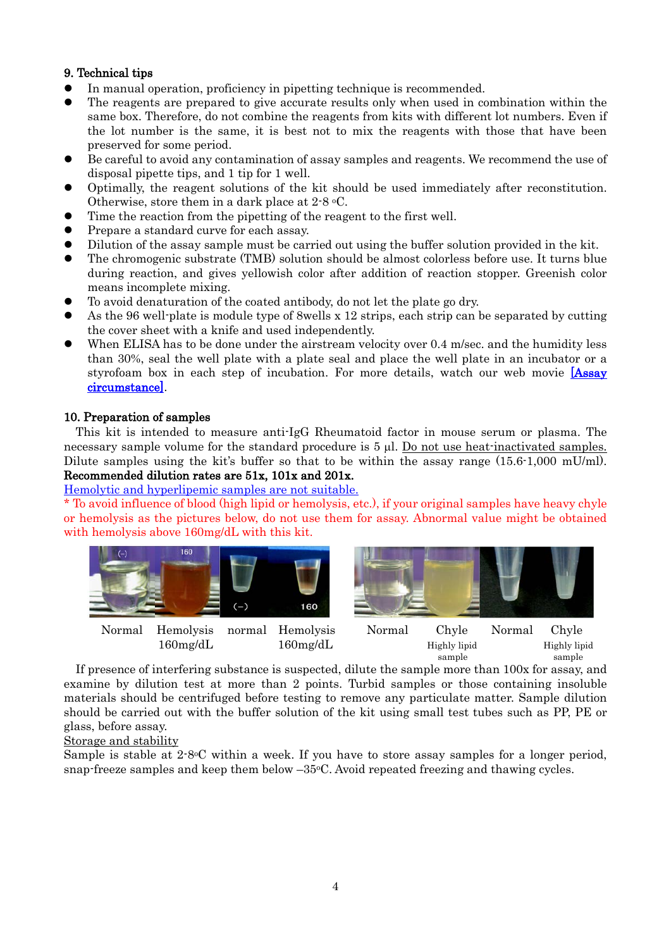# 9. Technical tips

- In manual operation, proficiency in pipetting technique is recommended.
- The reagents are prepared to give accurate results only when used in combination within the same box. Therefore, do not combine the reagents from kits with different lot numbers. Even if the lot number is the same, it is best not to mix the reagents with those that have been preserved for some period.
- Be careful to avoid any contamination of assay samples and reagents. We recommend the use of disposal pipette tips, and 1 tip for 1 well.
- Optimally, the reagent solutions of the kit should be used immediately after reconstitution. Otherwise, store them in a dark place at 2-8 oC.
- Time the reaction from the pipetting of the reagent to the first well.
- Prepare a standard curve for each assay.
- Dilution of the assay sample must be carried out using the buffer solution provided in the kit.
- The chromogenic substrate (TMB) solution should be almost colorless before use. It turns blue during reaction, and gives yellowish color after addition of reaction stopper. Greenish color means incomplete mixing.
- To avoid denaturation of the coated antibody, do not let the plate go dry.
- As the 96 well-plate is module type of 8wells x 12 strips, each strip can be separated by cutting the cover sheet with a knife and used independently.
- When ELISA has to be done under the airstream velocity over 0.4 m/sec. and the humidity less than 30%, seal the well plate with a plate seal and place the well plate in an incubator or a styrofoam box in each step of incubation. For more details, watch our web movie **Assay** [circumstance\].](http://www.shibayagi.co.jp/en/movie_008.html)

# 10. Preparation of samples

This kit is intended to measure anti-IgG Rheumatoid factor in mouse serum or plasma. The necessary sample volume for the standard procedure is 5 µl. Do not use heat-inactivated samples. Dilute samples using the kit's buffer so that to be within the assay range  $(15.6 \cdot 1,000 \text{ mU/ml})$ . Recommended dilution rates are 51x, 101x and 201x.

### [Hemolytic and hyperlipemic samples are not suitable.](http://www.shibayagi.co.jp/en/pdf/Hemolysis_and_chyle.pdf)

\* To avoid influence of blood (high lipid or hemolysis, etc.), if your original samples have heavy chyle or hemolysis as the pictures below, do not use them for assay. Abnormal value might be obtained with hemolysis above 160mg/dL with this kit.



 $160\mathrm{mg/dL}$  160 $\mathrm{mg/dL}$  Highly lipid Highly lipid

sample sample

If presence of interfering substance is suspected, dilute the sample more than 100x for assay, and examine by dilution test at more than 2 points. Turbid samples or those containing insoluble materials should be centrifuged before testing to remove any particulate matter. Sample dilution should be carried out with the buffer solution of the kit using small test tubes such as PP, PE or glass, before assay.

Storage and stability

Sample is stable at 2-8oC within a week. If you have to store assay samples for a longer period, snap-freeze samples and keep them below  $-35\degree$ C. Avoid repeated freezing and thawing cycles.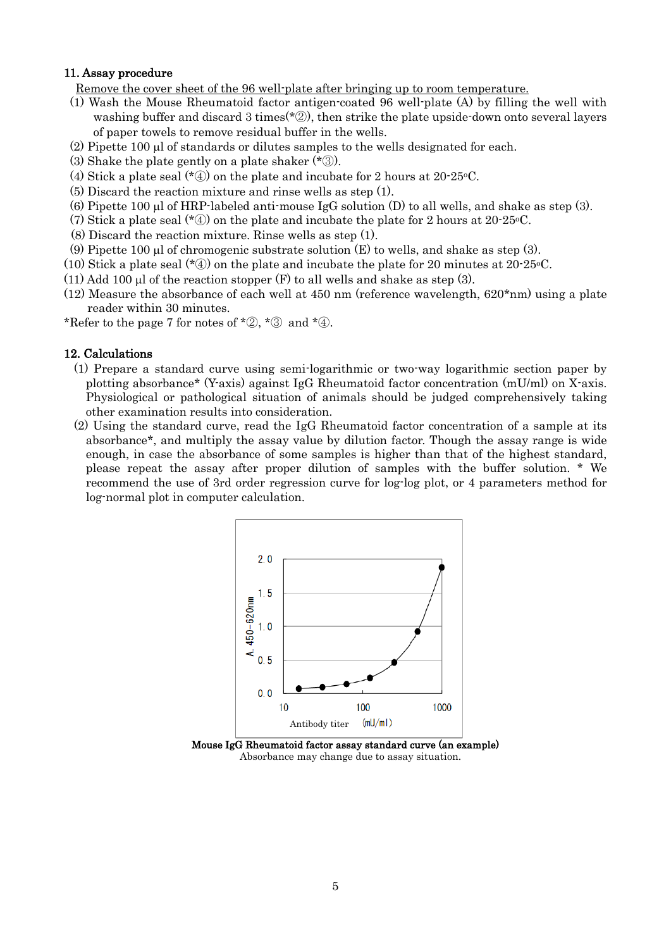#### 11. Assay procedure

Remove the cover sheet of the 96 well-plate after bringing up to room temperature.

- (1) Wash the Mouse Rheumatoid factor antigen-coated 96 well-plate (A) by filling the well with washing buffer and discard 3 times( $*$ 2), then strike the plate upside-down onto several layers of paper towels to remove residual buffer in the wells.
- (2) Pipette 100 µl of standards or dilutes samples to the wells designated for each.
- (3) Shake the plate gently on a plate shaker (\*③).
- (4) Stick a plate seal  $(*\mathcal{D})$  on the plate and incubate for 2 hours at 20-25 °C.
- (5) Discard the reaction mixture and rinse wells as step (1).
- (6) Pipette 100  $\mu$ l of HRP-labeled anti-mouse IgG solution (D) to all wells, and shake as step (3).
- (7) Stick a plate seal ( $*(4)$ ) on the plate and incubate the plate for 2 hours at 20-25°C.
- (8) Discard the reaction mixture. Rinse wells as step (1).
- (9) Pipette 100  $\mu$ l of chromogenic substrate solution (E) to wells, and shake as step (3).
- (10) Stick a plate seal  $(*\mathcal{D})$  on the plate and incubate the plate for 20 minutes at 20-25 °C.
- (11) Add 100  $\mu$  of the reaction stopper (F) to all wells and shake as step (3).
- $(12)$  Measure the absorbance of each well at 450 nm (reference wavelength,  $620*$ nm) using a plate reader within 30 minutes.

\*Refer to the page 7 for notes of \*2, \*3 and \*4.

#### 12. Calculations

- (1) Prepare a standard curve using semi-logarithmic or two-way logarithmic section paper by plotting absorbance\* (Y-axis) against IgG Rheumatoid factor concentration (mU/ml) on X-axis. Physiological or pathological situation of animals should be judged comprehensively taking other examination results into consideration.
- (2) Using the standard curve, read the IgG Rheumatoid factor concentration of a sample at its absorbance\*, and multiply the assay value by dilution factor. Though the assay range is wide enough, in case the absorbance of some samples is higher than that of the highest standard, please repeat the assay after proper dilution of samples with the buffer solution. \* We recommend the use of 3rd order regression curve for log-log plot, or 4 parameters method for log-normal plot in computer calculation.



Absorbance may change due to assay situation.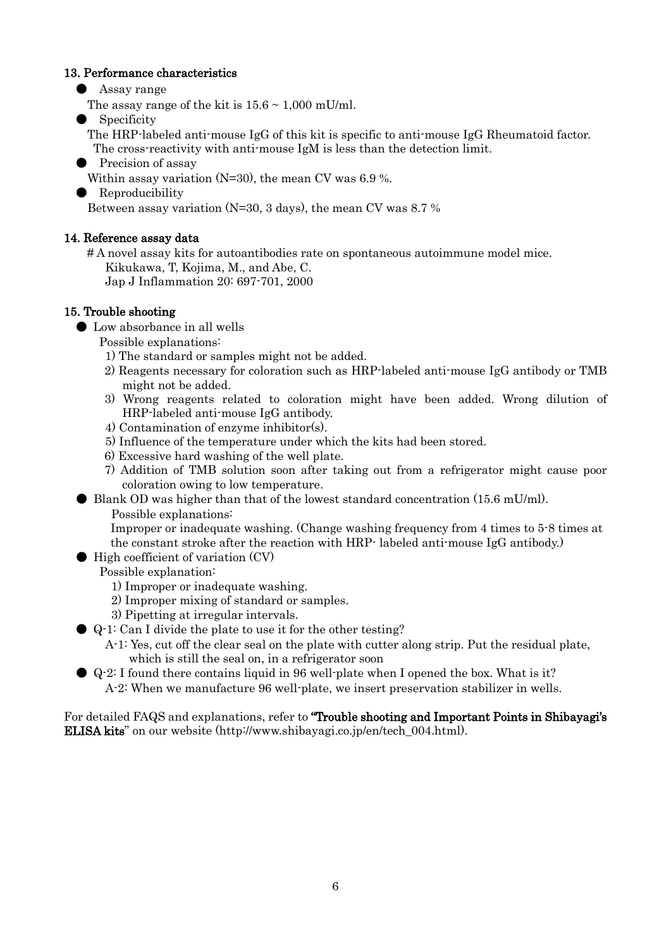#### 13. Performance characteristics

● Assay range

The assay range of the kit is  $15.6 \sim 1,000$  mU/ml.

Specificity

 The HRP-labeled anti-mouse IgG of this kit is specific to anti-mouse IgG Rheumatoid factor. The cross-reactivity with anti-mouse IgM is less than the detection limit.

● Precision of assay

Within assay variation (N=30), the mean CV was 6.9 %.

● Reproducibility

Between assay variation (N=30, 3 days), the mean CV was 8.7 %

# 14. Reference assay data

 # A novel assay kits for autoantibodies rate on spontaneous autoimmune model mice. Kikukawa, T, Kojima, M., and Abe, C.

Jap J Inflammation 20: 697-701, 2000

# 15. Trouble shooting

● Low absorbance in all wells

Possible explanations:

- 1) The standard or samples might not be added.
- 2) Reagents necessary for coloration such as HRP-labeled anti-mouse IgG antibody or TMB might not be added.
- 3) Wrong reagents related to coloration might have been added. Wrong dilution of HRP-labeled anti-mouse IgG antibody.
- 4) Contamination of enzyme inhibitor(s).
- 5) Influence of the temperature under which the kits had been stored.
- 6) Excessive hard washing of the well plate.
- 7) Addition of TMB solution soon after taking out from a refrigerator might cause poor coloration owing to low temperature.
- Blank OD was higher than that of the lowest standard concentration (15.6 mU/ml).
	- Possible explanations:

Improper or inadequate washing. (Change washing frequency from 4 times to 5-8 times at the constant stroke after the reaction with HRP- labeled anti-mouse IgG antibody.)

● High coefficient of variation (CV)

### Possible explanation:

- 1) Improper or inadequate washing.
- 2) Improper mixing of standard or samples.
- 3) Pipetting at irregular intervals.
- Q-1: Can I divide the plate to use it for the other testing?
	- A-1: Yes, cut off the clear seal on the plate with cutter along strip. Put the residual plate, which is still the seal on, in a refrigerator soon
- Q-2: I found there contains liquid in 96 well-plate when I opened the box. What is it? A-2: When we manufacture 96 well-plate, we insert preservation stabilizer in wells.

For detailed FAQS and explanations, refer to "Trouble shooting and Important Points in Shibayagi's ELISA kits" on our website (http://www.shibayagi.co.jp/en/tech\_004.html).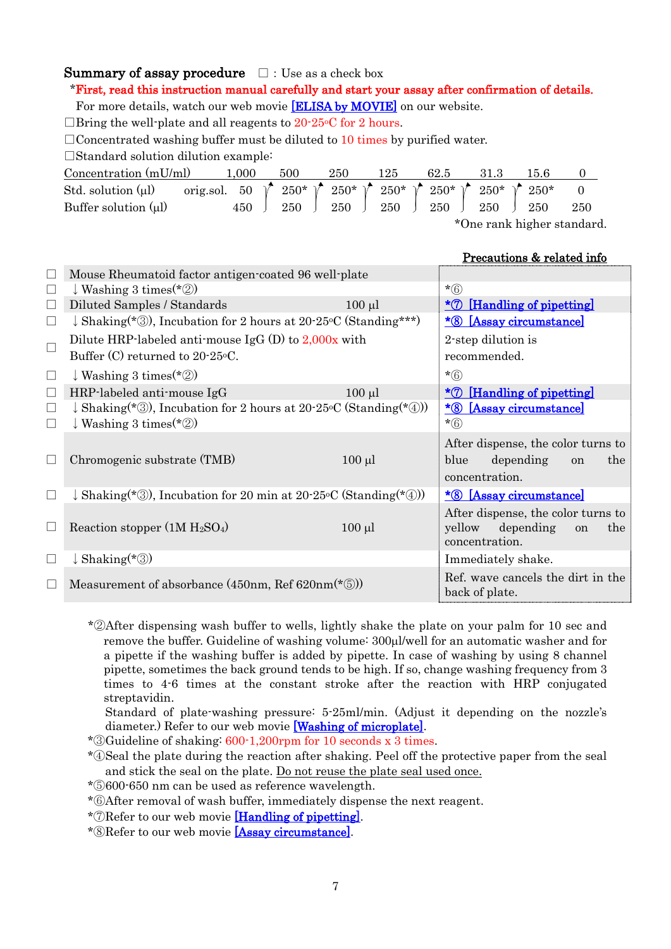# **Summary of assay procedure**  $\Box$ : Use as a check box

#### \*First, read this instruction manual carefully and start your assay after confirmation of details.

For more details, watch our web movie [\[ELISA by MOVIE\]](http://www.shibayagi.co.jp/en/movie.html) on our website.

 $\Box$ Bring the well-plate and all reagents to 20-25 °C for 2 hours.

 $\Box$ Concentrated washing buffer must be diluted to 10 times by purified water.

□Standard solution dilution example:

| Concentration $(mU/ml)$   | 1.000                                                                                                        | 500                                                                                                    | 250 | 125 | 62.5 | 31.3                     | 15.6 |     |
|---------------------------|--------------------------------------------------------------------------------------------------------------|--------------------------------------------------------------------------------------------------------|-----|-----|------|--------------------------|------|-----|
| Std. solution $(\mu l)$   | orig.sol. 50 $\uparrow$ 250* $\uparrow$ 250* $\uparrow$ 250* $\uparrow$ 250* $\uparrow$ 250* $\uparrow$ 250* |                                                                                                        |     |     |      |                          |      |     |
| Buffer solution $(\mu l)$ |                                                                                                              | 450 $\begin{array}{ c c c c c c c c c } \hline 450 & 250 & 250 & 250 & 250 & 250 \ \hline \end{array}$ |     |     |      |                          |      | 250 |
|                           |                                                                                                              |                                                                                                        |     |     |      | *One rank higher standar |      |     |

Une rank higher standard.

#### Precautions & related info

|   | Mouse Rheumatoid factor antigen-coated 96 well-plate                         |                                |                                                     |  |  |  |
|---|------------------------------------------------------------------------------|--------------------------------|-----------------------------------------------------|--|--|--|
|   | $\downarrow$ Washing 3 times (*2)                                            |                                | $*(6)$                                              |  |  |  |
|   | Diluted Samples / Standards                                                  | $100 \mu l$                    | $*$ [Handling of pipetting]                         |  |  |  |
|   | $\downarrow$ Shaking (*3), Incubation for 2 hours at 20-25 °C (Standing ***) | <u>*8 [Assay circumstance]</u> |                                                     |  |  |  |
|   | Dilute HRP-labeled anti-mouse IgG $(D)$ to 2,000x with                       | 2-step dilution is             |                                                     |  |  |  |
|   | Buffer (C) returned to 20-25 °C.                                             |                                | recommended.                                        |  |  |  |
| ⊔ | $\downarrow$ Washing 3 times (*2)                                            |                                | $*(6)$                                              |  |  |  |
|   | HRP-labeled anti-mouse IgG                                                   | $100 \mu l$                    | [Handling of pipetting]<br>$*(7)$                   |  |  |  |
|   | $\downarrow$ Shaking(*③), Incubation for 2 hours at 20-25°C (Standing(*④))   |                                | $*_{\circled{8}}$<br>[Assay circumstance]           |  |  |  |
|   | $\downarrow$ Washing 3 times (*2)                                            |                                | $*(6)$                                              |  |  |  |
|   |                                                                              |                                | After dispense, the color turns to                  |  |  |  |
|   | Chromogenic substrate (TMB)                                                  | $100 \mu l$                    | depending<br>blue<br>the<br>on                      |  |  |  |
|   |                                                                              |                                | concentration.                                      |  |  |  |
|   | $\downarrow$ Shaking(*③), Incubation for 20 min at 20-25 °C (Standing(*④))   |                                | <u>*8 [Assay circumstance]</u>                      |  |  |  |
|   |                                                                              |                                | After dispense, the color turns to                  |  |  |  |
|   | Reaction stopper $(1M H_2SO_4)$                                              | $100 \mu l$                    | depending<br>yellow<br>the.<br><sub>on</sub>        |  |  |  |
|   |                                                                              |                                | concentration.                                      |  |  |  |
|   | $\downarrow$ Shaking(*③)                                                     |                                | Immediately shake.                                  |  |  |  |
|   | Measurement of absorbance $(450nm, \text{Ref } 620nm(*\textcircled{5}))$     |                                | Ref. wave cancels the dirt in the<br>back of plate. |  |  |  |
|   |                                                                              |                                |                                                     |  |  |  |

\*②After dispensing wash buffer to wells, lightly shake the plate on your palm for 10 sec and remove the buffer. Guideline of washing volume: 300µl/well for an automatic washer and for a pipette if the washing buffer is added by pipette. In case of washing by using 8 channel pipette, sometimes the back ground tends to be high. If so, change washing frequency from 3 times to 4-6 times at the constant stroke after the reaction with HRP conjugated streptavidin.

Standard of plate-washing pressure: 5-25ml/min. (Adjust it depending on the nozzle's diameter.) Refer to our web movie [\[Washing of microplate\].](http://www.shibayagi.co.jp/en/movie_006.html)

\*③Guideline of shaking: 600-1,200rpm for 10 seconds x 3 times.

\*④Seal the plate during the reaction after shaking. Peel off the protective paper from the seal and stick the seal on the plate. Do not reuse the plate seal used once.

\*⑤600-650 nm can be used as reference wavelength.

\*⑥After removal of wash buffer, immediately dispense the next reagent.

\*⑦Refer to our web movie [\[Handling of pipetting\].](http://www.shibayagi.co.jp/en/movie_004.html)

\*⑧Refer to our web movie [\[Assay circumstance\].](http://www.shibayagi.co.jp/en/movie_008.html)